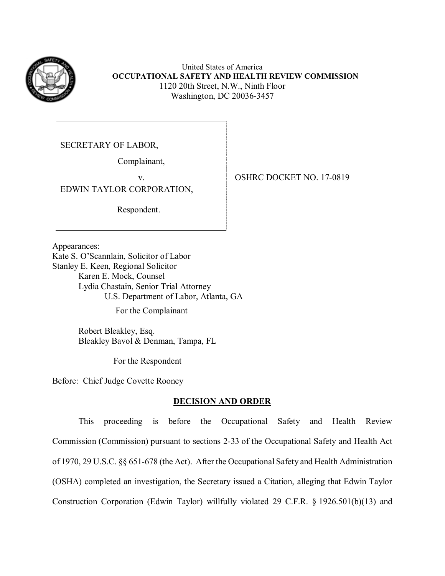

United States of America **OCCUPATIONAL SAFETY AND HEALTH REVIEW COMMISSION**  1120 20th Street, N.W., Ninth Floor Washington, DC 20036-3457

SECRETARY OF LABOR,

Complainant,

EDWIN TAYLOR CORPORATION,

Respondent.

v. 0SHRC DOCKET NO. 17-0819

Appearances:

 Karen E. Mock, Counsel Kate S. O'Scannlain, Solicitor of Labor Stanley E. Keen, Regional Solicitor Lydia Chastain, Senior Trial Attorney U.S. Department of Labor, Atlanta, GA

For the Complainant

Robert Bleakley, Esq. Bleakley Bavol & Denman, Tampa, FL

For the Respondent

Before: Chief Judge Covette Rooney

## **DECISION AND ORDER**

 of 1970, 29 U.S.C. §§ 651-678 (the Act). After the Occupational Safety and Health Administration This proceeding is before the Occupational Safety and Health Review Commission (Commission) pursuant to sections 2-33 of the Occupational Safety and Health Act (OSHA) completed an investigation, the Secretary issued a Citation, alleging that Edwin Taylor Construction Corporation (Edwin Taylor) willfully violated 29 C.F.R. § 1926.501(b)(13) and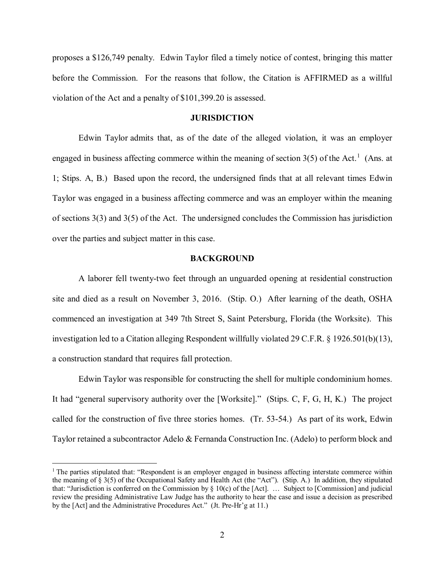proposes a \$126,749 penalty. Edwin Taylor filed a timely notice of contest, bringing this matter before the Commission. For the reasons that follow, the Citation is AFFIRMED as a willful violation of the Act and a penalty of \$101,399.20 is assessed.

#### **JURISDICTION**

engaged in business affecting commerce within the meaning of section  $3(5)$  of the Act.<sup>[1](#page-1-0)</sup> (Ans. at 1; Stips. A, B.) Based upon the record, the undersigned finds that at all relevant times Edwin of sections 3(3) and 3(5) of the Act. The undersigned concludes the Commission has jurisdiction over the parties and subject matter in this case. Edwin Taylor admits that, as of the date of the alleged violation, it was an employer Taylor was engaged in a business affecting commerce and was an employer within the meaning

#### **BACKGROUND**

 commenced an investigation at 349 7th Street S, Saint Petersburg, Florida (the Worksite). This a construction standard that requires fall protection. A laborer fell twenty-two feet through an unguarded opening at residential construction site and died as a result on November 3, 2016. (Stip. O.) After learning of the death, OSHA investigation led to a Citation alleging Respondent willfully violated 29 C.F.R. § 1926.501(b)(13),

 Edwin Taylor was responsible for constructing the shell for multiple condominium homes. It had "general supervisory authority over the [Worksite]." (Stips. C, F, G, H, K.) The project called for the construction of five three stories homes. (Tr. 53-54.) As part of its work, Edwin Taylor retained a subcontractor Adelo & Fernanda Construction Inc. (Adelo) to perform block and

<span id="page-1-0"></span> $1$  The parties stipulated that: "Respondent is an employer engaged in business affecting interstate commerce within the meaning of § 3(5) of the Occupational Safety and Health Act (the "Act"). (Stip. A.) In addition, they stipulated that: "Jurisdiction is conferred on the Commission by § 10(c) of the [Act]. … Subject to [Commission] and judicial review the presiding Administrative Law Judge has the authority to hear the case and issue a decision as prescribed by the [Act] and the Administrative Procedures Act." (Jt. Pre-Hr'g at 11.)<br>2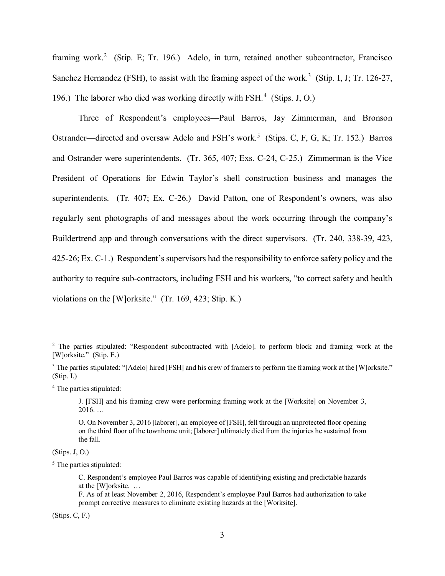framing work.<sup>[2](#page-2-0)</sup> (Stip. E; Tr. 196.) Adelo, in turn, retained another subcontractor, Francisco Sanchez Hernandez (FSH), to assist with the framing aspect of the work.<sup>[3](#page-2-1)</sup> (Stip. I, J; Tr. 126-27, 196.) The laborer who died was working directly with FSH.<sup>[4](#page-2-2)</sup> (Stips. J, O.)

Ostrander—directed and oversaw Adelo and FSH's work.<sup>5</sup> (Stips. C, F, G, K; Tr. 152.) Barros and Ostrander were superintendents. (Tr. 365, 407; Exs. C-24, C-25.) Zimmerman is the Vice superintendents. (Tr. 407; Ex. C-26.) David Patton, one of Respondent's owners, was also Buildertrend app and through conversations with the direct supervisors. (Tr. 240, 338-39, 423, 425-26; Ex. C-1.) Respondent's supervisors had the responsibility to enforce safety policy and the Three of Respondent's employees—Paul Barros, Jay Zimmerman, and Bronson President of Operations for Edwin Taylor's shell construction business and manages the regularly sent photographs of and messages about the work occurring through the company's authority to require sub-contractors, including FSH and his workers, "to correct safety and health violations on the [W]orksite." (Tr. 169, 423; Stip. K.)

 $(Stips. J. O.)$ 

<u>.</u>

(Stips. C, F.)

<span id="page-2-0"></span><sup>[</sup>W]orksite." (Stip. E.) <sup>2</sup> The parties stipulated: "Respondent subcontracted with [Adelo]. to perform block and framing work at the

<span id="page-2-1"></span> $(Stip. I.)$ [W]orksite." (Stip. E.)<br><sup>3</sup> The parties stipulated: "[Adelo] hired [FSH] and his crew of framers to perform the framing work at the [W]orksite."<br>(Stip. I.)<br><sup>4</sup> The parties stipulated:

<span id="page-2-2"></span>

J. [FSH] and his framing crew were performing framing work at the [Worksite] on November 3, 2016. …

 the fall. O. On November 3, 2016 [laborer], an employee of [FSH], fell through an unprotected floor opening on the third floor of the townhome unit; [laborer] ultimately died from the injuries he sustained from

<span id="page-2-3"></span> $<sup>5</sup>$  The parties stipulated:</sup>

 C. Respondent's employee Paul Barros was capable of identifying existing and predictable hazards at the [W]orksite. …

 F. As of at least November 2, 2016, Respondent's employee Paul Barros had authorization to take prompt corrective measures to eliminate existing hazards at the [Worksite].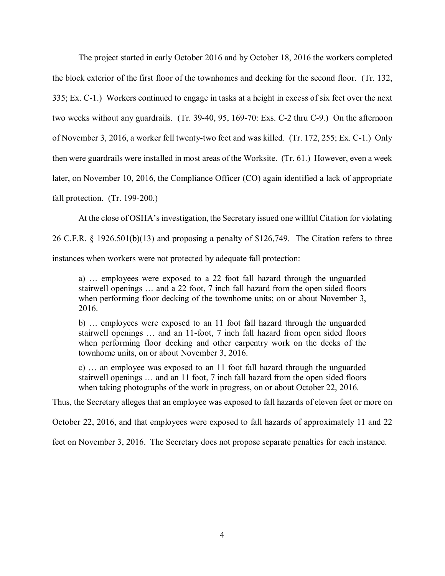the block exterior of the first floor of the townhomes and decking for the second floor. (Tr. 132, 335; Ex. C-1.) Workers continued to engage in tasks at a height in excess of six feet over the next two weeks without any guardrails. (Tr. 39-40, 95, 169-70: Exs. C-2 thru C-9.) On the afternoon of November 3, 2016, a worker fell twenty-two feet and was killed. (Tr. 172, 255; Ex. C-1.) Only then were guardrails were installed in most areas of the Worksite. (Tr. 61.) However, even a week fall protection. (Tr. 199-200.) The project started in early October 2016 and by October 18, 2016 the workers completed later, on November 10, 2016, the Compliance Officer (CO) again identified a lack of appropriate

At the close of OSHA's investigation, the Secretary issued one willful Citation for violating

26 C.F.R. § 1926.501(b)(13) and proposing a penalty of \$126,749. The Citation refers to three

instances when workers were not protected by adequate fall protection:

 stairwell openings … and a 22 foot, 7 inch fall hazard from the open sided floors a) … employees were exposed to a 22 foot fall hazard through the unguarded when performing floor decking of the townhome units; on or about November 3, 2016.

 b) … employees were exposed to an 11 foot fall hazard through the unguarded stairwell openings … and an 11-foot, 7 inch fall hazard from open sided floors when performing floor decking and other carpentry work on the decks of the townhome units, on or about November 3, 2016.

 when taking photographs of the work in progress, on or about October 22, 2016. c) … an employee was exposed to an 11 foot fall hazard through the unguarded stairwell openings … and an 11 foot, 7 inch fall hazard from the open sided floors

Thus, the Secretary alleges that an employee was exposed to fall hazards of eleven feet or more on

October 22, 2016, and that employees were exposed to fall hazards of approximately 11 and 22

feet on November 3, 2016. The Secretary does not propose separate penalties for each instance.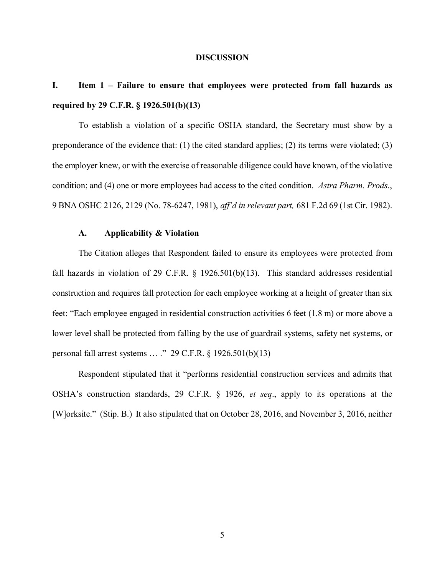#### **DISCUSSION**

# **I. Item 1 – Failure to ensure that employees were protected from fall hazards as required by 29 C.F.R. § 1926.501(b)(13)**

To establish a violation of a specific OSHA standard, the Secretary must show by a preponderance of the evidence that: (1) the cited standard applies; (2) its terms were violated; (3) the employer knew, or with the exercise of reasonable diligence could have known, of the violative condition; and (4) one or more employees had access to the cited condition. *Astra Pharm. Prods*., 9 BNA OSHC 2126, 2129 (No. 78-6247, 1981), *aff'd in relevant part,* 681 F.2d 69 (1st Cir. 1982).

## **A. Applicability & Violation**

 construction and requires fall protection for each employee working at a height of greater than six The Citation alleges that Respondent failed to ensure its employees were protected from fall hazards in violation of 29 C.F.R. § 1926.501(b)(13). This standard addresses residential feet: "Each employee engaged in residential construction activities 6 feet (1.8 m) or more above a lower level shall be protected from falling by the use of guardrail systems, safety net systems, or personal fall arrest systems … ." 29 C.F.R. § 1926.501(b)(13)

 OSHA's construction standards, 29 C.F.R. § 1926, *et seq*., apply to its operations at the [W]orksite." (Stip. B.) It also stipulated that on October 28, 2016, and November 3, 2016, neither Respondent stipulated that it "performs residential construction services and admits that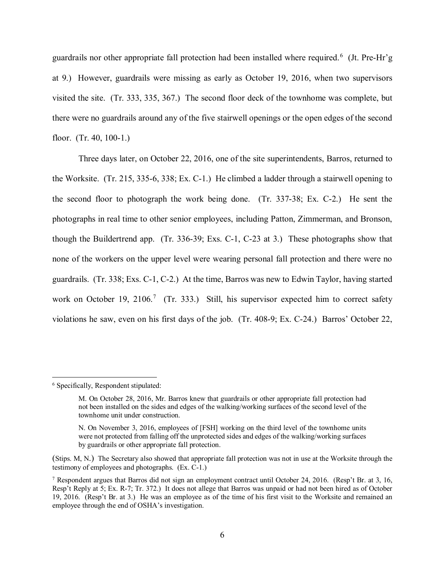guardrails nor other appropriate fall protection had been installed where required.<sup>6</sup> (Jt. Pre-Hr'g at 9.) However, guardrails were missing as early as October 19, 2016, when two supervisors visited the site. (Tr. 333, 335, 367.) The second floor deck of the townhome was complete, but floor. (Tr. 40, 100-1.) there were no guardrails around any of the five stairwell openings or the open edges of the second

 Three days later, on October 22, 2016, one of the site superintendents, Barros, returned to the Worksite. (Tr. 215, 335-6, 338; Ex. C-1.) He climbed a ladder through a stairwell opening to the second floor to photograph the work being done. (Tr. 337-38; Ex. C-2.) He sent the photographs in real time to other senior employees, including Patton, Zimmerman, and Bronson, guardrails. (Tr. 338; Exs. C-1, C-2.) At the time, Barros was new to Edwin Taylor, having started work on October 19, 2106.<sup>7</sup> (Tr. 333.) Still, his supervisor expected him to correct safety violations he saw, even on his first days of the job. (Tr. 408-9; Ex. C-24.) Barros' October 22, though the Buildertrend app. (Tr. 336-39; Exs. C-1, C-23 at 3.) These photographs show that none of the workers on the upper level were wearing personal fall protection and there were no

<span id="page-5-0"></span><sup>6</sup> Specifically, Respondent stipulated:

 M. On October 28, 2016, Mr. Barros knew that guardrails or other appropriate fall protection had not been installed on the sides and edges of the walking/working surfaces of the second level of the townhome unit under construction.

 N. On November 3, 2016, employees of [FSH] working on the third level of the townhome units were not protected from falling off the unprotected sides and edges of the walking/working surfaces by guardrails or other appropriate fall protection.

 (Stips. M, N.) The Secretary also showed that appropriate fall protection was not in use at the Worksite through the testimony of employees and photographs. (Ex. C-1.)

<span id="page-5-1"></span><sup>&</sup>lt;sup>7</sup> Respondent argues that Barros did not sign an employment contract until October 24, 2016. (Resp't Br. at 3, 16, Resp't Reply at 5; Ex. R-7; Tr. 372.) It does not allege that Barros was unpaid or had not been hired as of October 19, 2016. (Resp't Br. at 3.) He was an employee as of the time of his first visit to the Worksite and remained an employee through the end of OSHA's investigation.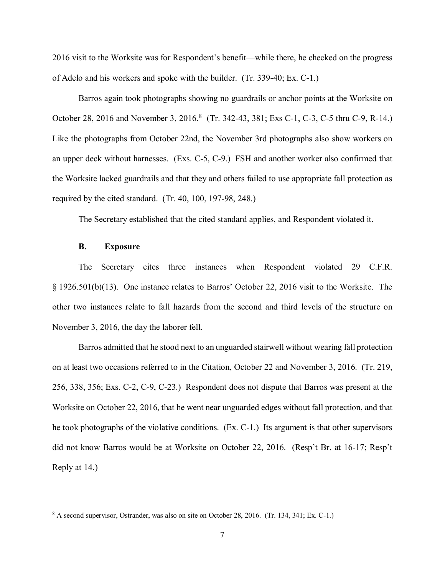2016 visit to the Worksite was for Respondent's benefit—while there, he checked on the progress of Adelo and his workers and spoke with the builder. (Tr. 339-40; Ex. C-1.)

October 28, 2016 and November 3, 2016.<sup>8</sup> (Tr. 342-43, 381; Exs C-1, C-3, C-5 thru C-9, R-14.) an upper deck without harnesses. (Exs. C-5, C-9.) FSH and another worker also confirmed that required by the cited standard. (Tr. 40, 100, 197-98, 248.) Barros again took photographs showing no guardrails or anchor points at the Worksite on Like the photographs from October 22nd, the November 3rd photographs also show workers on the Worksite lacked guardrails and that they and others failed to use appropriate fall protection as

The Secretary established that the cited standard applies, and Respondent violated it.

#### **B. Exposure**

<u>.</u>

 other two instances relate to fall hazards from the second and third levels of the structure on November 3, 2016, the day the laborer fell. The Secretary cites three instances when Respondent violated 29 C.F.R. § 1926.501(b)(13). One instance relates to Barros' October 22, 2016 visit to the Worksite. The

 on at least two occasions referred to in the Citation, October 22 and November 3, 2016. (Tr. 219, he took photographs of the violative conditions. (Ex. C-1.) Its argument is that other supervisors Reply at 14.) Reply at 14.)<br><sup>8</sup> A second supervisor, Ostrander, was also on site on October 28, 2016. (Tr. 134, 341; Ex. C-1.) Barros admitted that he stood next to an unguarded stairwell without wearing fall protection 256, 338, 356; Exs. C-2, C-9, C-23.) Respondent does not dispute that Barros was present at the Worksite on October 22, 2016, that he went near unguarded edges without fall protection, and that did not know Barros would be at Worksite on October 22, 2016. (Resp't Br. at 16-17; Resp't

<span id="page-6-0"></span>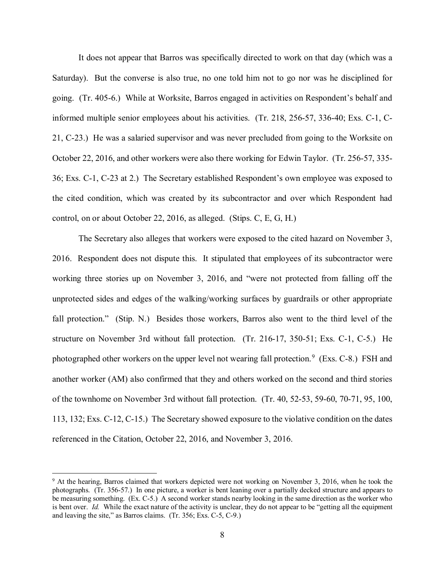It does not appear that Barros was specifically directed to work on that day (which was a Saturday). But the converse is also true, no one told him not to go nor was he disciplined for going. (Tr. 405-6.) While at Worksite, Barros engaged in activities on Respondent's behalf and 36; Exs. C-1, C-23 at 2.) The Secretary established Respondent's own employee was exposed to the cited condition, which was created by its subcontractor and over which Respondent had control, on or about October 22, 2016, as alleged. (Stips. C, E, G, H.) informed multiple senior employees about his activities. (Tr. 218, 256-57, 336-40; Exs. C-1, C-21, C-23.) He was a salaried supervisor and was never precluded from going to the Worksite on October 22, 2016, and other workers were also there working for Edwin Taylor. (Tr. 256-57, 335-

 2016. Respondent does not dispute this. It stipulated that employees of its subcontractor were fall protection." (Stip. N.) Besides those workers, Barros also went to the third level of the structure on November 3rd without fall protection. (Tr. 216-17, 350-51; Exs. C-1, C-5.) He photographed other workers on the upper level not wearing fall protection.<sup>[9](#page-7-0)</sup> (Exs. C-8.) FSH and 113, 132; Exs. C-12, C-15.) The Secretary showed exposure to the violative condition on the dates The Secretary also alleges that workers were exposed to the cited hazard on November 3, working three stories up on November 3, 2016, and "were not protected from falling off the unprotected sides and edges of the walking/working surfaces by guardrails or other appropriate another worker (AM) also confirmed that they and others worked on the second and third stories of the townhome on November 3rd without fall protection. (Tr. 40, 52-53, 59-60, 70-71, 95, 100, referenced in the Citation, October 22, 2016, and November 3, 2016.

<span id="page-7-0"></span><sup>&</sup>lt;sup>9</sup> At the hearing, Barros claimed that workers depicted were not working on November 3, 2016, when he took the is bent over. *Id.* While the exact nature of the activity is unclear, they do not appear to be "getting all the equipment and leaving the site," as Barros claims. (Tr. 356; Exs. C-5, C-9.) photographs. (Tr. 356-57.) In one picture, a worker is bent leaning over a partially decked structure and appears to be measuring something. (Ex. C-5.) A second worker stands nearby looking in the same direction as the worker who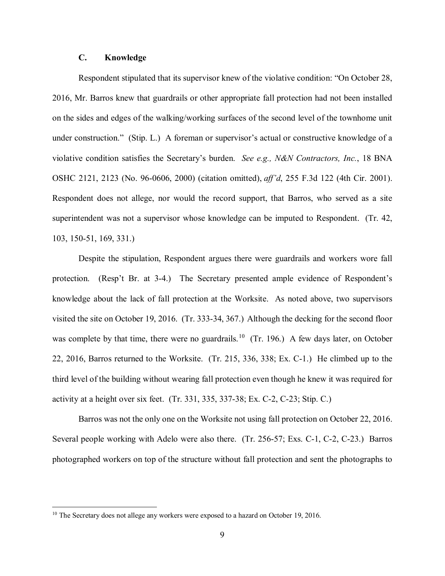## **C. Knowledge**

 2016, Mr. Barros knew that guardrails or other appropriate fall protection had not been installed under construction." (Stip. L.) A foreman or supervisor's actual or constructive knowledge of a violative condition satisfies the Secretary's burden. *See e.g., N&N Contractors, Inc.*, 18 BNA OSHC 2121, 2123 (No. 96-0606, 2000) (citation omitted), aff'd, 255 F.3d 122 (4th Cir. 2001). OSHC 2121, 2123 (No. 96-0606, 2000) (citation omitted), *aff'd*, 255 F.3d 122 (4th Cir. 2001). Respondent does not allege, nor would the record support, that Barros, who served as a site superintendent was not a supervisor whose knowledge can be imputed to Respondent. (Tr. 42, 103, 150-51, 169, 331.) Respondent stipulated that its supervisor knew of the violative condition: "On October 28, on the sides and edges of the walking/working surfaces of the second level of the townhome unit

 protection. (Resp't Br. at 3-4.) The Secretary presented ample evidence of Respondent's knowledge about the lack of fall protection at the Worksite. As noted above, two supervisors visited the site on October 19, 2016. (Tr. 333-34, 367.) Although the decking for the second floor was complete by that time, there were no guardrails.<sup>10</sup> (Tr. 196.) A few days later, on October 22, 2016, Barros returned to the Worksite. (Tr. 215, 336, 338; Ex. C-1.) He climbed up to the activity at a height over six feet. (Tr. 331, 335, 337-38; Ex. C-2, C-23; Stip. C.) Despite the stipulation, Respondent argues there were guardrails and workers wore fall third level of the building without wearing fall protection even though he knew it was required for

 Barros was not the only one on the Worksite not using fall protection on October 22, 2016. Several people working with Adelo were also there. (Tr. 256-57; Exs. C-1, C-2, C-23.) Barros photographed workers on top of the structure without fall protection and sent the photographs to

<span id="page-8-0"></span><sup>&</sup>lt;sup>10</sup> The Secretary does not allege any workers were exposed to a hazard on October 19, 2016.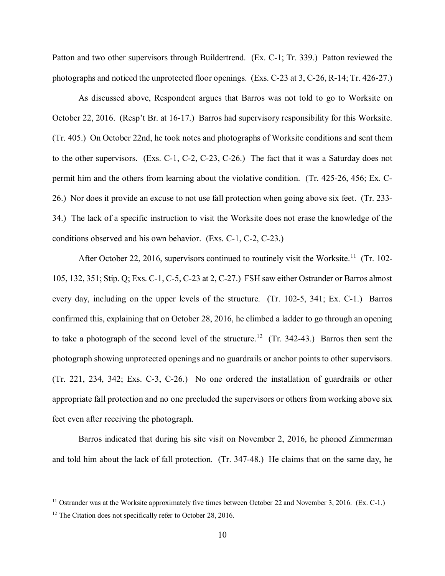photographs and noticed the unprotected floor openings. (Exs. C-23 at 3, C-26, R-14; Tr. 426-27.) As discussed above, Respondent argues that Barros was not told to go to Worksite on Patton and two other supervisors through Buildertrend. (Ex. C-1; Tr. 339.) Patton reviewed the

As discussed above, Respondent argues that Barros was not told to go to Worksite on October 22, 2016. (Resp't Br. at 16-17.) Barros had supervisory responsibility for this Worksite. (Tr. 405.) On October 22nd, he took notes and photographs of Worksite conditions and sent them to the other supervisors. (Exs. C-1, C-2, C-23, C-26.) The fact that it was a Saturday does not permit him and the others from learning about the violative condition. (Tr. 425-26, 456; Ex. C- 26.) Nor does it provide an excuse to not use fall protection when going above six feet. (Tr. 233- 34.) The lack of a specific instruction to visit the Worksite does not erase the knowledge of the conditions observed and his own behavior. (Exs. C-1, C-2, C-23.)

After October 22, 2016, supervisors continued to routinely visit the Worksite.<sup>11</sup> (Tr. 102- 105, 132, 351; Stip. Q; Exs. C-1, C-5, C-23 at 2, C-27.) FSH saw either Ostrander or Barros almost every day, including on the upper levels of the structure. (Tr. 102-5, 341; Ex. C-1.) Barros confirmed this, explaining that on October 28, 2016, he climbed a ladder to go through an opening to take a photograph of the second level of the structure.<sup>[12](#page-9-1)</sup> (Tr. 342-43.) Barros then sent the (Tr. 221, 234, 342; Exs. C-3, C-26.) No one ordered the installation of guardrails or other appropriate fall protection and no one precluded the supervisors or others from working above six feet even after receiving the photograph. feet even after receiving the photograph. Barros indicated that during his site visit on November 2, 2016, he phoned Zimmerman photograph showing unprotected openings and no guardrails or anchor points to other supervisors.

and told him about the lack of fall protection. (Tr. 347-48.) He claims that on the same day, he

<span id="page-9-0"></span><sup>&</sup>lt;sup>11</sup> Ostrander was at the Worksite approximately five times between October 22 and November 3, 2016. (Ex. C-1.) <sup>12</sup> The Citation does not specifically refer to October 28, 2016.  $10$ 

<span id="page-9-1"></span><sup>&</sup>lt;sup>12</sup> The Citation does not specifically refer to October 28, 2016.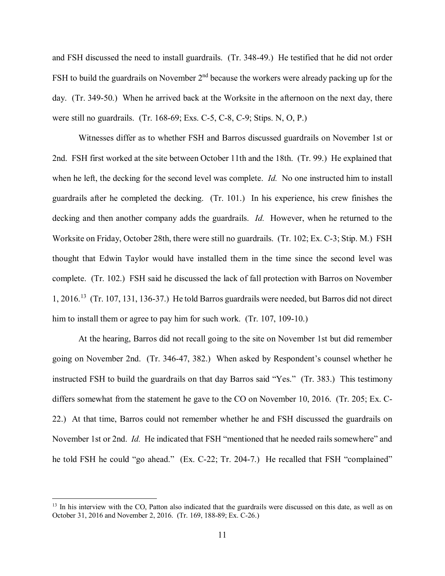and FSH discussed the need to install guardrails. (Tr. 348-49.) He testified that he did not order FSH to build the guardrails on November  $2<sup>nd</sup>$  because the workers were already packing up for the day. (Tr. 349-50.) When he arrived back at the Worksite in the afternoon on the next day, there were still no guardrails. (Tr. 168-69; Exs. C-5, C-8, C-9; Stips. N, O, P.)

 2nd. FSH first worked at the site between October 11th and the 18th. (Tr. 99.) He explained that when he left, the decking for the second level was complete. *Id.* No one instructed him to install guardrails after he completed the decking. (Tr. 101.) In his experience, his crew finishes the decking and then another company adds the guardrails. *Id.* However, when he returned to the thought that Edwin Taylor would have installed them in the time since the second level was complete. (Tr. 102.) FSH said he discussed the lack of fall protection with Barros on November 1, 2016.[13](#page-10-0) (Tr. 107, 131, 136-37.) He told Barros guardrails were needed, but Barros did not direct him to install them or agree to pay him for such work. (Tr. 107, 109-10.) Witnesses differ as to whether FSH and Barros discussed guardrails on November 1st or Worksite on Friday, October 28th, there were still no guardrails. (Tr. 102; Ex. C-3; Stip. M.) FSH

 instructed FSH to build the guardrails on that day Barros said "Yes." (Tr. 383.) This testimony differs somewhat from the statement he gave to the CO on November 10, 2016. (Tr. 205; Ex. C- 22.) At that time, Barros could not remember whether he and FSH discussed the guardrails on November 1st or 2nd. *Id.* He indicated that FSH "mentioned that he needed rails somewhere" and At the hearing, Barros did not recall going to the site on November 1st but did remember going on November 2nd. (Tr. 346-47, 382.) When asked by Respondent's counsel whether he he told FSH he could "go ahead." (Ex. C-22; Tr. 204-7.) He recalled that FSH "complained"

<span id="page-10-0"></span><sup>&</sup>lt;sup>13</sup> In his interview with the CO, Patton also indicated that the guardrails were discussed on this date, as well as on October 31, 2016 and November 2, 2016. (Tr. 169, 188-89; Ex. C-26.)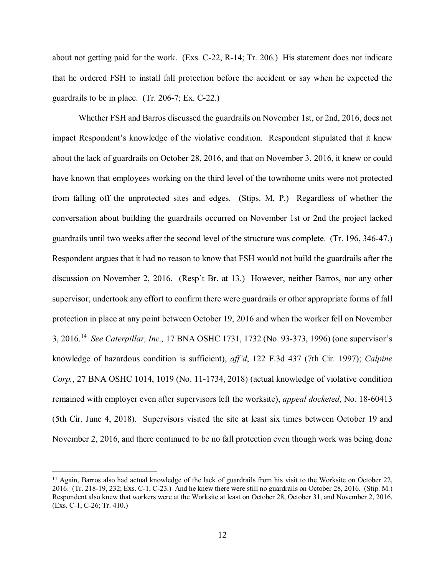about not getting paid for the work. (Exs. C-22, R-14; Tr. 206.) His statement does not indicate that he ordered FSH to install fall protection before the accident or say when he expected the guardrails to be in place.  $(Tr. 206-7; Ex. C-22.)$ 

 impact Respondent's knowledge of the violative condition. Respondent stipulated that it knew from falling off the unprotected sites and edges. (Stips. M, P.) Regardless of whether the conversation about building the guardrails occurred on November 1st or 2nd the project lacked guardrails until two weeks after the second level of the structure was complete. (Tr. 196, 346-47.) guardrails until two weeks after the second level of the structure was complete. (Tr. 196, 346-47.) Respondent argues that it had no reason to know that FSH would not build the guardrails after the discussion on November 2, 2016. (Resp't Br. at 13.) However, neither Barros, nor any other protection in place at any point between October 19, 2016 and when the worker fell on November 3, 2016.[14](#page-11-0) *See Caterpillar, Inc.,* 17 BNA OSHC 1731, 1732 (No. 93-373, 1996) (one supervisor's Whether FSH and Barros discussed the guardrails on November 1st, or 2nd, 2016, does not about the lack of guardrails on October 28, 2016, and that on November 3, 2016, it knew or could have known that employees working on the third level of the townhome units were not protected supervisor, undertook any effort to confirm there were guardrails or other appropriate forms of fall knowledge of hazardous condition is sufficient), *aff'd*, 122 F.3d 437 (7th Cir. 1997); *Calpine Corp.*, 27 BNA OSHC 1014, 1019 (No. 11-1734, 2018) (actual knowledge of violative condition remained with employer even after supervisors left the worksite), *appeal docketed*, No. 18-60413 (5th Cir. June 4, 2018). Supervisors visited the site at least six times between October 19 and November 2, 2016, and there continued to be no fall protection even though work was being done

-

<span id="page-11-0"></span> 2016. (Tr. 218-19, 232; Exs. C-1, C-23.) And he knew there were still no guardrails on October 28, 2016. (Stip. M.) Respondent also knew that workers were at the Worksite at least on October 28, October 31, and November 2, 2016.<br>(Exs. C-1, C-26; Tr. 410.) <sup>14</sup> Again, Barros also had actual knowledge of the lack of guardrails from his visit to the Worksite on October 22,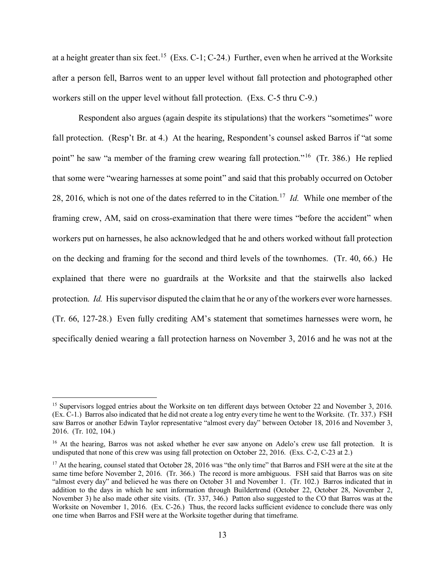at a height greater than six feet.<sup>[15](#page-12-0)</sup> (Exs. C-1; C-24.) Further, even when he arrived at the Worksite after a person fell, Barros went to an upper level without fall protection and photographed other workers still on the upper level without fall protection. (Exs. C-5 thru C-9.)

 fall protection. (Resp't Br. at 4.) At the hearing, Respondent's counsel asked Barros if "at some point" he saw "a member of the framing crew wearing fall protection."<sup>16</sup> (Tr. 386.) He replied 28, 2016, which is not one of the dates referred to in the Citation.[17](#page-12-2) *Id.* While one member of the on the decking and framing for the second and third levels of the townhomes. (Tr. 40, 66.) He explained that there were no guardrails at the Worksite and that the stairwells also lacked protection. *Id.* His supervisor disputed the claim that he or any of the workers ever wore harnesses. Respondent also argues (again despite its stipulations) that the workers "sometimes" wore that some were "wearing harnesses at some point" and said that this probably occurred on October framing crew, AM, said on cross-examination that there were times "before the accident" when workers put on harnesses, he also acknowledged that he and others worked without fall protection (Tr. 66, 127-28.) Even fully crediting AM's statement that sometimes harnesses were worn, he specifically denied wearing a fall protection harness on November 3, 2016 and he was not at the

<span id="page-12-0"></span><sup>&</sup>lt;sup>15</sup> Supervisors logged entries about the Worksite on ten different days between October 22 and November 3, 2016. (Ex. C-1.) Barros also indicated that he did not create a log entry every time he went to the Worksite. (Tr. 337.) FSH saw Barros or another Edwin Taylor representative "almost every day" between October 18, 2016 and November 3, 2016. (Tr. 102, 104.)

<span id="page-12-1"></span><sup>&</sup>lt;sup>16</sup> At the hearing, Barros was not asked whether he ever saw anyone on Adelo's crew use fall protection. It is undisputed that none of this crew was using fall protection on October 22, 2016. (Exs. C-2, C-23 at 2.)

<span id="page-12-2"></span>same time before November 2, 2016. (Tr. 366.) The record is more ambiguous. FSH said that Barros was on site "almost every day" and believed he was there on October 31 and November 1. (Tr. 102.) Barros indicated that in addition to the days in which he sent information through Buildertrend (October 22, October 28, November 2, November 3) he also made other site visits. (Tr. 337, 346.) Patton also suggested to the CO that Barros was at the Worksite on November 1, 2016. (Ex. C-26.) Thus, the record lacks sufficient evidence to conclude there was only one time when Barros and FSH were at the Worksite together during that timeframe.<br>13 <sup>17</sup> At the hearing, counsel stated that October 28, 2016 was "the only time" that Barros and FSH were at the site at the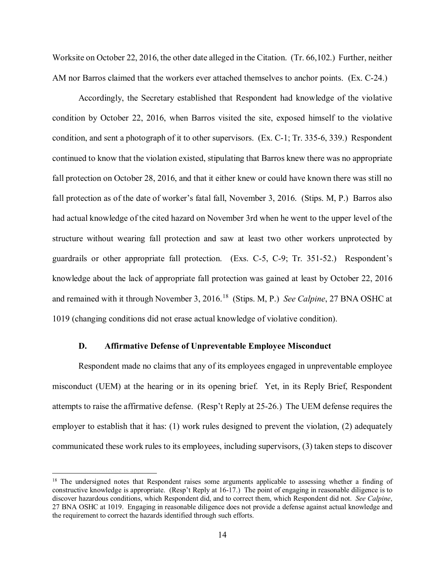Worksite on October 22, 2016, the other date alleged in the Citation. (Tr. 66,102.) Further, neither AM nor Barros claimed that the workers ever attached themselves to anchor points. (Ex. C-24.)

 condition, and sent a photograph of it to other supervisors. (Ex. C-1; Tr. 335-6, 339.) Respondent continued to know that the violation existed, stipulating that Barros knew there was no appropriate fall protection on October 28, 2016, and that it either knew or could have known there was still no fall protection as of the date of worker's fatal fall, November 3, 2016. (Stips. M, P.) Barros also had actual knowledge of the cited hazard on November 3rd when he went to the upper level of the knowledge about the lack of appropriate fall protection was gained at least by October 22, 2016 and remained with it through November 3, 2016.[18](#page-13-0) (Stips. M, P.) *See Calpine*, 27 BNA OSHC at 1019 (changing conditions did not erase actual knowledge of violative condition). Accordingly, the Secretary established that Respondent had knowledge of the violative condition by October 22, 2016, when Barros visited the site, exposed himself to the violative structure without wearing fall protection and saw at least two other workers unprotected by guardrails or other appropriate fall protection. (Exs. C-5, C-9; Tr. 351-52.) Respondent's

#### **D. Affirmative Defense of Unpreventable Employee Misconduct**

 misconduct (UEM) at the hearing or in its opening brief. Yet, in its Reply Brief, Respondent attempts to raise the affirmative defense. (Resp't Reply at 25-26.) The UEM defense requires the communicated these work rules to its employees, including supervisors, (3) taken steps to discover Respondent made no claims that any of its employees engaged in unpreventable employee employer to establish that it has: (1) work rules designed to prevent the violation, (2) adequately

<span id="page-13-0"></span> constructive knowledge is appropriate. (Resp't Reply at 16-17.) The point of engaging in reasonable diligence is to discover hazardous conditions, which Respondent did, and to correct them, which Respondent did not. *See Calpine*, 27 BNA OSHC at 1019. Engaging in reasonable diligence does not provide a defense against actual knowledge and <sup>18</sup> The undersigned notes that Respondent raises some arguments applicable to assessing whether a finding of the requirement to correct the hazards identified through such efforts.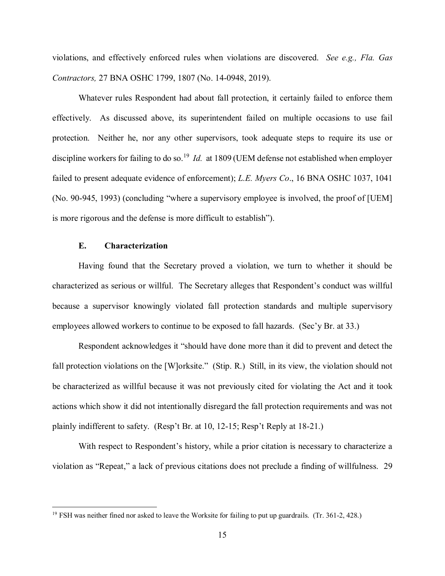violations, and effectively enforced rules when violations are discovered. *See e.g., Fla. Gas Contractors,* 27 BNA OSHC 1799, 1807 (No. 14-0948, 2019).

 Whatever rules Respondent had about fall protection, it certainly failed to enforce them protection. Neither he, nor any other supervisors, took adequate steps to require its use or discipline workers for failing to do so.[19](#page-14-0) *Id.* at 1809 (UEM defense not established when employer (No. 90-945, 1993) (concluding "where a supervisory employee is involved, the proof of [UEM] is more rigorous and the defense is more difficult to establish"). effectively. As discussed above, its superintendent failed on multiple occasions to use fail failed to present adequate evidence of enforcement); *L.E. Myers Co*., 16 BNA OSHC 1037, 1041

## **E. Characterization**

<u>.</u>

 Having found that the Secretary proved a violation, we turn to whether it should be characterized as serious or willful. The Secretary alleges that Respondent's conduct was willful employees allowed workers to continue to be exposed to fall hazards. (Sec'y Br. at 33.) because a supervisor knowingly violated fall protection standards and multiple supervisory

 Respondent acknowledges it "should have done more than it did to prevent and detect the fall protection violations on the [W]orksite." (Stip. R.) Still, in its view, the violation should not be characterized as willful because it was not previously cited for violating the Act and it took actions which show it did not intentionally disregard the fall protection requirements and was not plainly indifferent to safety. (Resp't Br. at 10, 12-15; Resp't Reply at 18-21.) plainly indifferent to safety. (Resp't Br. at 10, 12-15; Resp't Reply at 18-21.) With respect to Respondent's history, while a prior citation is necessary to characterize a

violation as "Repeat," a lack of previous citations does not preclude a finding of willfulness. 29

<span id="page-14-0"></span><sup>&</sup>lt;sup>19</sup> FSH was neither fined nor asked to leave the Worksite for failing to put up guardrails. (Tr. 361-2, 428.)  $15$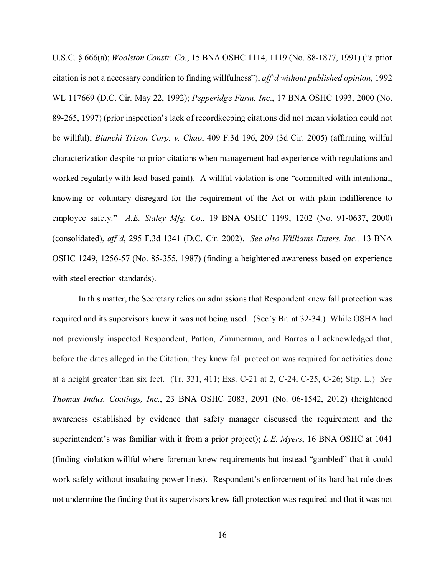citation is not a necessary condition to finding willfulness"), *aff'd without published opinion*, 1992 89-265, 1997) (prior inspection's lack of recordkeeping citations did not mean violation could not characterization despite no prior citations when management had experience with regulations and worked regularly with lead-based paint). A willful violation is one "committed with intentional, knowing or voluntary disregard for the requirement of the Act or with plain indifference to U.S.C. § 666(a); *Woolston Constr. Co*., 15 BNA OSHC 1114, 1119 (No. 88-1877, 1991) ("a prior WL 117669 (D.C. Cir. May 22, 1992); *Pepperidge Farm, Inc*., 17 BNA OSHC 1993, 2000 (No. be willful); *Bianchi Trison Corp. v. Chao*, 409 F.3d 196, 209 (3d Cir. 2005) (affirming willful employee safety." *A.E. Staley Mfg. Co*., 19 BNA OSHC 1199, 1202 (No. 91-0637, 2000) (consolidated), *aff'd*, 295 F.3d 1341 (D.C. Cir. 2002). *See also Williams Enters. Inc.,* 13 BNA OSHC 1249, 1256-57 (No. 85-355, 1987) (finding a heightened awareness based on experience with steel erection standards).

 In this matter, the Secretary relies on admissions that Respondent knew fall protection was required and its supervisors knew it was not being used. (Sec'y Br. at 32-34.) While OSHA had before the dates alleged in the Citation, they knew fall protection was required for activities done at a height greater than six feet. (Tr. 331, 411; Exs. C-21 at 2, C-24, C-25, C-26; Stip. L.) *See*  superintendent's was familiar with it from a prior project); *L.E. Myers*, 16 BNA OSHC at 1041 work safely without insulating power lines). Respondent's enforcement of its hard hat rule does not previously inspected Respondent, Patton, Zimmerman, and Barros all acknowledged that, *Thomas Indus. Coatings, Inc.*, 23 BNA OSHC 2083, 2091 (No. 06-1542, 2012) (heightened awareness established by evidence that safety manager discussed the requirement and the (finding violation willful where foreman knew requirements but instead "gambled" that it could not undermine the finding that its supervisors knew fall protection was required and that it was not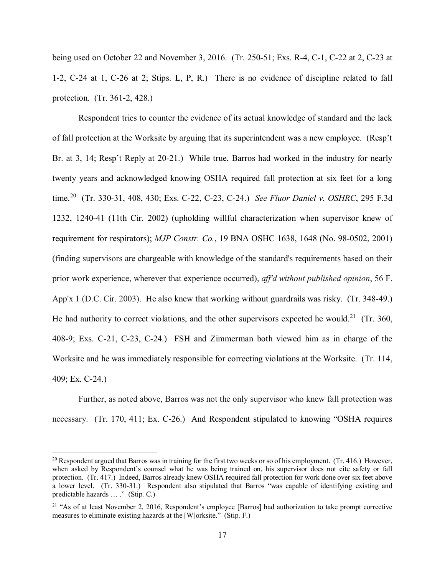protection. (Tr. 361-2, 428.) protection. (Tr. 361-2, 428.)<br>Respondent tries to counter the evidence of its actual knowledge of standard and the lack being used on October 22 and November 3, 2016. (Tr. 250-51; Exs. R-4, C-1, C-22 at 2, C-23 at 1-2, C-24 at 1, C-26 at 2; Stips. L, P, R.) There is no evidence of discipline related to fall

 twenty years and acknowledged knowing OSHA required fall protection at six feet for a long time.[20](#page-16-0) (Tr. 330-31, 408, 430; Exs. C-22, C-23, C-24.) *See Fluor Daniel v. OSHRC*, 295 F.3d App'x 1 (D.C. Cir. 2003). He also knew that working without guardrails was risky. (Tr. 348-49.) He had authority to correct violations, and the other supervisors expected he would.<sup>21</sup> (Tr. 360, 408-9; Exs. C-21, C-23, C-24.) FSH and Zimmerman both viewed him as in charge of the Worksite and he was immediately responsible for correcting violations at the Worksite. (Tr. 114, of fall protection at the Worksite by arguing that its superintendent was a new employee. (Resp't Br. at 3, 14; Resp't Reply at 20-21.) While true, Barros had worked in the industry for nearly 1232, 1240-41 (11th Cir. 2002) (upholding willful characterization when supervisor knew of requirement for respirators); *MJP Constr. Co.*, 19 BNA OSHC 1638, 1648 (No. 98-0502, 2001) (finding supervisors are chargeable with knowledge of the standard's requirements based on their prior work experience, wherever that experience occurred), *aff'd without published opinion*, 56 F. 409; Ex. C-24.)

 necessary. (Tr. 170, 411; Ex. C-26.) And Respondent stipulated to knowing "OSHA requires Further, as noted above, Barros was not the only supervisor who knew fall protection was

<span id="page-16-0"></span> $20$  Respondent argued that Barros was in training for the first two weeks or so of his employment. (Tr. 416.) However, when asked by Respondent's counsel what he was being trained on, his supervisor does not cite safety or fall protection. (Tr. 417.) Indeed, Barros already knew OSHA required fall protection for work done over six feet above a lower level. (Tr. 330-31.) Respondent also stipulated that Barros "was capable of identifying existing and predictable hazards ... ." (Stip. C.)

<span id="page-16-1"></span> measures to eliminate existing hazards at the [W]orksite." (Stip. F.) <sup>21</sup> "As of at least November 2, 2016, Respondent's employee [Barros] had authorization to take prompt corrective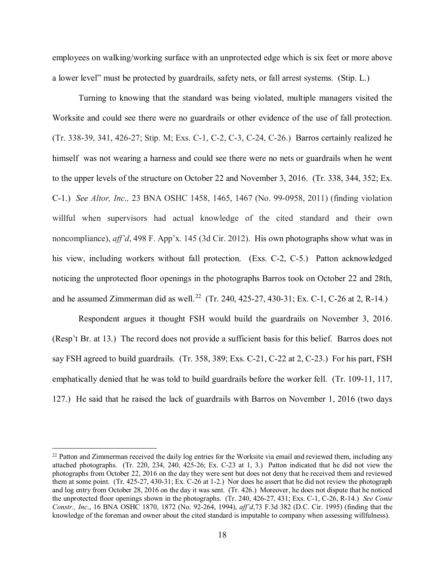a lower level" must be protected by guardrails, safety nets, or fall arrest systems. (Stip. L.) employees on walking/working surface with an unprotected edge which is six feet or more above

Worksite and could see there were no guardrails or other evidence of the use of fall protection. Worksite and could see there were no guardrails or other evidence of the use of fall protection. (Tr. 338-39, 341, 426-27; Stip. M; Exs. C-1, C-2, C-3, C-24, C-26.) Barros certainly realized he C-1.) *See Altor, Inc.,* 23 BNA OSHC 1458, 1465, 1467 (No. 99-0958, 2011) (finding violation his view, including workers without fall protection. (Exs. C-2, C-5.) Patton acknowledged noticing the unprotected floor openings in the photographs Barros took on October 22 and 28th, and he assumed Zimmerman did as well.<sup>22</sup> (Tr. 240, 425-27, 430-31; Ex. C-1, C-26 at 2, R-14.) Turning to knowing that the standard was being violated, multiple managers visited the himself was not wearing a harness and could see there were no nets or guardrails when he went to the upper levels of the structure on October 22 and November 3, 2016. (Tr. 338, 344, 352; Ex. willful when supervisors had actual knowledge of the cited standard and their own noncompliance), *aff'd*, 498 F. App'x. 145 (3d Cir. 2012). His own photographs show what was in

Respondent argues it thought FSH would build the guardrails on November 3, 2016. Respondent argues it thought FSH would build the guardrails on November 3, 2016. (Resp't Br. at 13.) The record does not provide a sufficient basis for this belief. Barros does not emphatically denied that he was told to build guardrails before the worker fell. (Tr. 109-11, 117, say FSH agreed to build guardrails. (Tr. 358, 389; Exs. C-21, C-22 at 2, C-23.) For his part, FSH 127.) He said that he raised the lack of guardrails with Barros on November 1, 2016 (two days

<span id="page-17-0"></span> $22$  Patton and Zimmerman received the daily log entries for the Worksite via email and reviewed them, including any attached photographs. (Tr. 220, 234, 240, 425-26; Ex. C-23 at 1, 3.) Patton indicated that he did not view the photographs from October 22, 2016 on the day they were sent but does not deny that he received them and reviewed them at some point. (Tr. 425-27, 430-31; Ex. C-26 at 1-2.) Nor does he assert that he did not review the photograph and log entry from October 28, 2016 on the day it was sent. (Tr. 426.) Moreover, he does not dispute that he noticed the unprotected floor openings shown in the photographs. (Tr. 240, 426-27, 431; Exs. C-1, C-26, R-14.) *See Conie*  knowledge of the foreman and owner about the cited standard is imputable to company when assessing willfulness). *Constr., Inc*., 16 BNA OSHC 1870, 1872 (No. 92-264, 1994), *aff'd*,73 F.3d 382 (D.C. Cir. 1995) (finding that the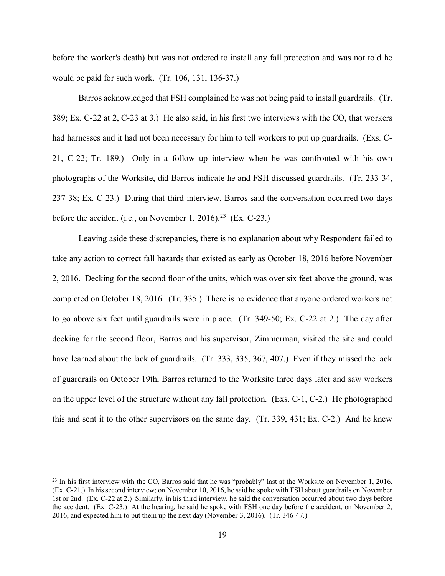before the worker's death) but was not ordered to install any fall protection and was not told he would be paid for such work. (Tr. 106, 131, 136-37.)

 21, C-22; Tr. 189.) Only in a follow up interview when he was confronted with his own photographs of the Worksite, did Barros indicate he and FSH discussed guardrails. (Tr. 233-34, 237-38; Ex. C-23.) During that third interview, Barros said the conversation occurred two days before the accident (i.e., on November 1, 2016).<sup>[23](#page-18-0)</sup> (Ex. C-23.) Barros acknowledged that FSH complained he was not being paid to install guardrails. (Tr. 389; Ex. C-22 at 2, C-23 at 3.) He also said, in his first two interviews with the CO, that workers had harnesses and it had not been necessary for him to tell workers to put up guardrails. (Exs. C-

 2, 2016. Decking for the second floor of the units, which was over six feet above the ground, was completed on October 18, 2016. (Tr. 335.) There is no evidence that anyone ordered workers not to go above six feet until guardrails were in place. (Tr. 349-50; Ex. C-22 at 2.) The day after of guardrails on October 19th, Barros returned to the Worksite three days later and saw workers on the upper level of the structure without any fall protection. (Exs. C-1, C-2.) He photographed this and sent it to the other supervisors on the same day. (Tr. 339, 431; Ex. C-2.) And he knew Leaving aside these discrepancies, there is no explanation about why Respondent failed to take any action to correct fall hazards that existed as early as October 18, 2016 before November decking for the second floor, Barros and his supervisor, Zimmerman, visited the site and could have learned about the lack of guardrails. (Tr. 333, 335, 367, 407.) Even if they missed the lack

<span id="page-18-0"></span> $2<sup>23</sup>$  In his first interview with the CO, Barros said that he was "probably" last at the Worksite on November 1, 2016. 1st or 2nd. (Ex. C-22 at 2.) Similarly, in his third interview, he said the conversation occurred about two days before the accident. (Ex. C-23.) At the hearing, he said he spoke with FSH one day before the accident, on November 2, 2016, and expected him to put them up the next day (November 3, 2016). (Tr. 346-47.) (Ex. C-21.) In his second interview; on November 10, 2016, he said he spoke with FSH about guardrails on November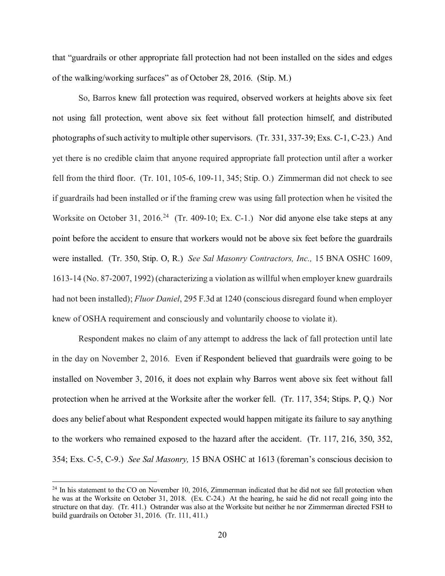that "guardrails or other appropriate fall protection had not been installed on the sides and edges of the walking/working surfaces" as of October 28, 2016. (Stip. M.)

 So, Barros knew fall protection was required, observed workers at heights above six feet photographs of such activity to multiple other supervisors. (Tr. 331, 337-39; Exs. C-1, C-23.) And yet there is no credible claim that anyone required appropriate fall protection until after a worker if guardrails had been installed or if the framing crew was using fall protection when he visited the Worksite on October 31, 2016.<sup>24</sup> (Tr. 409-10; Ex. C-1.) Nor did anyone else take steps at any were installed. (Tr. 350, Stip. O, R.) *See Sal Masonry Contractors, Inc.,* 15 BNA OSHC 1609, not using fall protection, went above six feet without fall protection himself, and distributed fell from the third floor. (Tr. 101, 105-6, 109-11, 345; Stip. O.) Zimmerman did not check to see point before the accident to ensure that workers would not be above six feet before the guardrails 1613-14 (No. 87-2007, 1992) (characterizing a violation as willful when employer knew guardrails had not been installed); *Fluor Daniel*, 295 F.3d at 1240 (conscious disregard found when employer knew of OSHA requirement and consciously and voluntarily choose to violate it).

 in the day on November 2, 2016. Even if Respondent believed that guardrails were going to be does any belief about what Respondent expected would happen mitigate its failure to say anything to the workers who remained exposed to the hazard after the accident. (Tr. 117, 216, 350, 352, Respondent makes no claim of any attempt to address the lack of fall protection until late installed on November 3, 2016, it does not explain why Barros went above six feet without fall protection when he arrived at the Worksite after the worker fell. (Tr. 117, 354; Stips. P, Q.) Nor 354; Exs. C-5, C-9.) *See Sal Masonry,* 15 BNA OSHC at 1613 (foreman's conscious decision to

<span id="page-19-0"></span> $24$  In his statement to the CO on November 10, 2016, Zimmerman indicated that he did not see fall protection when he was at the Worksite on October 31, 2018. (Ex. C-24.) At the hearing, he said he did not recall going into the structure on that day. (Tr. 411.) Ostrander was also at the Worksite but neither he nor Zimmerman directed FSH to build guardrails on October 31, 2016. (Tr. 111, 411.)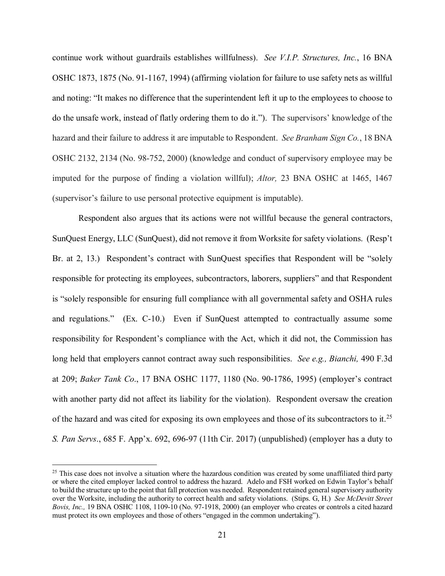continue work without guardrails establishes willfulness). *See V.I.P. Structures, Inc.*, 16 BNA and noting: "It makes no difference that the superintendent left it up to the employees to choose to do the unsafe work, instead of flatly ordering them to do it."). The supervisors' knowledge of the hazard and their failure to address it are imputable to Respondent. *See Branham Sign Co.*, 18 BNA OSHC 2132, 2134 (No. 98-752, 2000) (knowledge and conduct of supervisory employee may be imputed for the purpose of finding a violation willful); *Altor,* 23 BNA OSHC at 1465, 1467 OSHC 1873, 1875 (No. 91-1167, 1994) (affirming violation for failure to use safety nets as willful (supervisor's failure to use personal protective equipment is imputable).

 Respondent also argues that its actions were not willful because the general contractors, SunQuest Energy, LLC (SunQuest), did not remove it from Worksite for safety violations. (Resp't is "solely responsible for ensuring full compliance with all governmental safety and OSHA rules and regulations." (Ex. C-10.) Even if SunQuest attempted to contractually assume some long held that employers cannot contract away such responsibilities. *See e.g., Bianchi,* 490 F.3d with another party did not affect its liability for the violation). Respondent oversaw the creation of the hazard and was cited for exposing its own employees and those of its subcontractors to it.<sup>25</sup> Br. at 2, 13.) Respondent's contract with SunQuest specifies that Respondent will be "solely responsible for protecting its employees, subcontractors, laborers, suppliers" and that Respondent responsibility for Respondent's compliance with the Act, which it did not, the Commission has at 209; *Baker Tank Co*., 17 BNA OSHC 1177, 1180 (No. 90-1786, 1995) (employer's contract *S. Pan Servs*., 685 F. App'x. 692, 696-97 (11th Cir. 2017) (unpublished) (employer has a duty to

<span id="page-20-0"></span> $25$  This case does not involve a situation where the hazardous condition was created by some unaffiliated third party or where the cited employer lacked control to address the hazard. Adelo and FSH worked on Edwin Taylor's behalf to build the structure up to the point that fall protection was needed. Respondent retained general supervisory authority over the Worksite, including the authority to correct health and safety violations. (Stips. G, H.) *See McDevitt Street Bovis, Inc.,* 19 BNA OSHC 1108, 1109-10 (No. 97-1918, 2000) (an employer who creates or controls a cited hazard must protect its own employees and those of others "engaged in the common undertaking").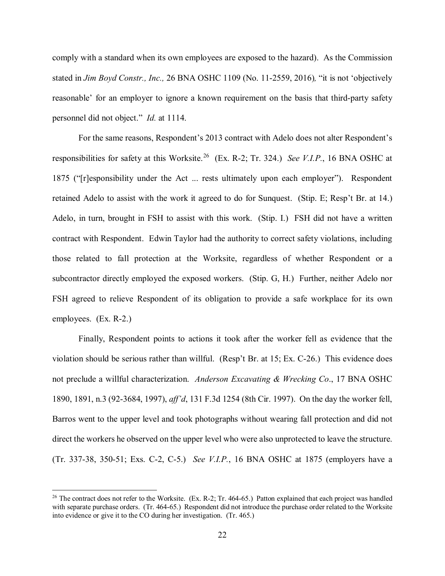comply with a standard when its own employees are exposed to the hazard). As the Commission personnel did not object." *Id.* at 1114. stated in *Jim Boyd Constr., Inc.,* 26 BNA OSHC 1109 (No. 11-2559, 2016)*,* "it is not 'objectively reasonable' for an employer to ignore a known requirement on the basis that third-party safety

 For the same reasons, Respondent's 2013 contract with Adelo does not alter Respondent's responsibilities for safety at this Worksite. [26](#page-21-0) (Ex. R-2; Tr. 324.) *See V.I.P.*, 16 BNA OSHC at retained Adelo to assist with the work it agreed to do for Sunquest. (Stip. E; Resp't Br. at 14.) Adelo, in turn, brought in FSH to assist with this work. (Stip. I.) FSH did not have a written contract with Respondent. Edwin Taylor had the authority to correct safety violations, including 1875 ("[r]esponsibility under the Act ... rests ultimately upon each employer"). Respondent those related to fall protection at the Worksite, regardless of whether Respondent or a subcontractor directly employed the exposed workers. (Stip. G, H.) Further, neither Adelo nor FSH agreed to relieve Respondent of its obligation to provide a safe workplace for its own employees. (Ex. R-2.)

 not preclude a willful characterization. *Anderson Excavating & Wrecking Co*., 17 BNA OSHC Barros went to the upper level and took photographs without wearing fall protection and did not direct the workers he observed on the upper level who were also unprotected to leave the structure. direct the workers he observed on the upper level who were also unprotected to leave the structure. (Tr. 337-38, 350-51; Exs. C-2, C-5.) *See V.I.P.*, 16 BNA OSHC at 1875 (employers have a Finally, Respondent points to actions it took after the worker fell as evidence that the violation should be serious rather than willful. (Resp't Br. at 15; Ex. C-26.) This evidence does 1890, 1891, n.3 (92-3684, 1997), *aff'd*, 131 F.3d 1254 (8th Cir. 1997). On the day the worker fell,

-

<span id="page-21-0"></span> $26$  The contract does not refer to the Worksite. (Ex. R-2; Tr. 464-65.) Patton explained that each project was handled into evidence or give it to the CO during her investigation. (Tr. 465.) with separate purchase orders. (Tr. 464-65.) Respondent did not introduce the purchase order related to the Worksite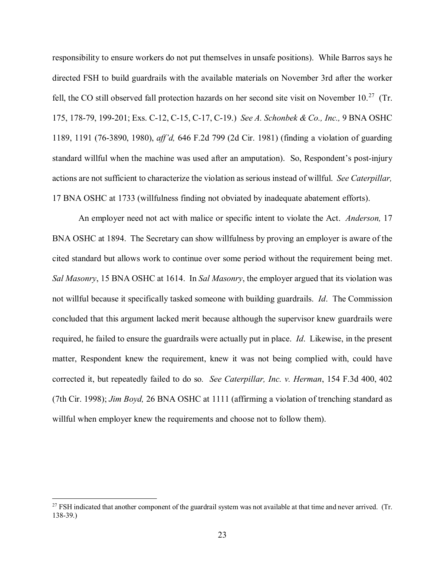responsibility to ensure workers do not put themselves in unsafe positions). While Barros says he fell, the CO still observed fall protection hazards on her second site visit on November 10.<sup>27</sup> (Tr. 175, 178-79, 199-201; Exs. C-12, C-15, C-17, C-19.) *See A. Schonbek & Co., Inc.,* 9 BNA OSHC standard willful when the machine was used after an amputation). So, Respondent's post-injury actions are not sufficient to characterize the violation as serious instead of willful. *See Caterpillar,*  17 BNA OSHC at 1733 (willfulness finding not obviated by inadequate abatement efforts). directed FSH to build guardrails with the available materials on November 3rd after the worker 1189, 1191 (76-3890, 1980), *aff'd,* 646 F.2d 799 (2d Cir. 1981) (finding a violation of guarding

 An employer need not act with malice or specific intent to violate the Act. *Anderson,* 17 cited standard but allows work to continue over some period without the requirement being met. *Sal Masonry*, 15 BNA OSHC at 1614. In *Sal Masonry*, the employer argued that its violation was not willful because it specifically tasked someone with building guardrails. *Id*. The Commission concluded that this argument lacked merit because although the supervisor knew guardrails were required, he failed to ensure the guardrails were actually put in place. *Id*. Likewise, in the present (7th Cir. 1998); *Jim Boyd,* 26 BNA OSHC at 1111 (affirming a violation of trenching standard as BNA OSHC at 1894. The Secretary can show willfulness by proving an employer is aware of the matter, Respondent knew the requirement, knew it was not being complied with, could have corrected it, but repeatedly failed to do so*. See Caterpillar, Inc. v. Herman*, 154 F.3d 400, 402 willful when employer knew the requirements and choose not to follow them).

<span id="page-22-0"></span> $^{27}$  FSH indicated that another component of the guardrail system was not available at that time and never arrived. (Tr. 138-39.)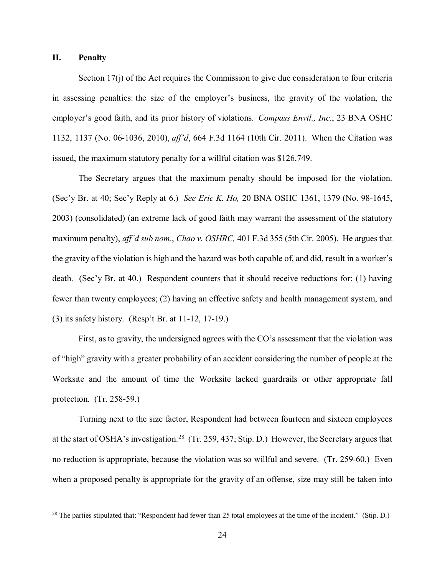#### **II. Penalty**

<u>.</u>

 employer's good faith, and its prior history of violations. *Compass Envtl., Inc*., 23 BNA OSHC 1132, 1137 (No. 06-1036, 2010), *aff'd*, 664 F.3d 1164 (10th Cir. 2011). When the Citation was issued, the maximum statutory penalty for a willful citation was \$126,749. Section 17(j) of the Act requires the Commission to give due consideration to four criteria in assessing penalties: the size of the employer's business, the gravity of the violation, the

 (Sec'y Br. at 40; Sec'y Reply at 6.) *See Eric K. Ho,* 20 BNA OSHC 1361, 1379 (No. 98-1645, the gravity of the violation is high and the hazard was both capable of, and did, result in a worker's death. (Sec'y Br. at 40.) Respondent counters that it should receive reductions for: (1) having (3) its safety history. (Resp't Br. at 11-12, 17-19.) The Secretary argues that the maximum penalty should be imposed for the violation. 2003) (consolidated) (an extreme lack of good faith may warrant the assessment of the statutory maximum penalty), *aff'd sub nom*., *Chao v. OSHRC,* 401 F.3d 355 (5th Cir. 2005). He argues that fewer than twenty employees; (2) having an effective safety and health management system, and

 of "high" gravity with a greater probability of an accident considering the number of people at the First, as to gravity, the undersigned agrees with the CO's assessment that the violation was Worksite and the amount of time the Worksite lacked guardrails or other appropriate fall protection. (Tr. 258-59.)

at the start of OSHA's investigation.<sup>28</sup> (Tr. 259, 437; Stip. D.) However, the Secretary argues that no reduction is appropriate, because the violation was so willful and severe. (Tr. 259-60.) Even Turning next to the size factor, Respondent had between fourteen and sixteen employees when a proposed penalty is appropriate for the gravity of an offense, size may still be taken into

<span id="page-23-0"></span> $^{28}$  The parties stipulated that: "Respondent had fewer than 25 total employees at the time of the incident." (Stip. D.)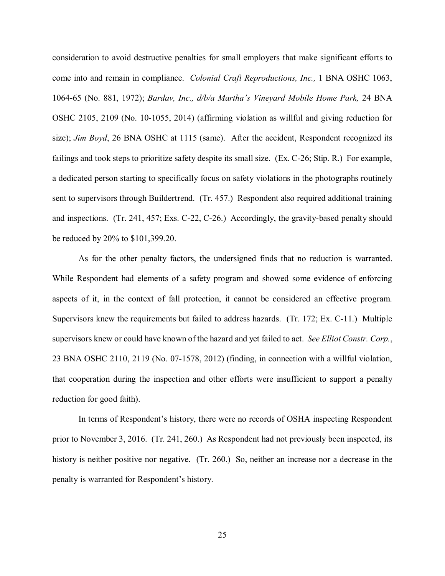consideration to avoid destructive penalties for small employers that make significant efforts to come into and remain in compliance. *Colonial Craft Reproductions, Inc.,* 1 BNA OSHC 1063, OSHC 2105, 2109 (No. 10-1055, 2014) (affirming violation as willful and giving reduction for failings and took steps to prioritize safety despite its small size. (Ex. C-26; Stip. R.) For example, and inspections. (Tr. 241, 457; Exs. C-22, C-26.) Accordingly, the gravity-based penalty should 1064-65 (No. 881, 1972); *Bardav, Inc., d/b/a Martha's Vineyard Mobile Home Park,* 24 BNA size); *Jim Boyd*, 26 BNA OSHC at 1115 (same). After the accident, Respondent recognized its a dedicated person starting to specifically focus on safety violations in the photographs routinely sent to supervisors through Buildertrend. (Tr. 457.) Respondent also required additional training be reduced by 20% to \$101,399.20.

 As for the other penalty factors, the undersigned finds that no reduction is warranted. aspects of it, in the context of fall protection, it cannot be considered an effective program. Supervisors knew the requirements but failed to address hazards. (Tr. 172; Ex. C-11.) Multiple supervisors knew or could have known of the hazard and yet failed to act. *See Elliot Constr. Corp.*, reduction for good faith). reduction for good faith).<br>In terms of Respondent's history, there were no records of OSHA inspecting Respondent While Respondent had elements of a safety program and showed some evidence of enforcing 23 BNA OSHC 2110, 2119 (No. 07-1578, 2012) (finding, in connection with a willful violation, that cooperation during the inspection and other efforts were insufficient to support a penalty

 history is neither positive nor negative. (Tr. 260.) So, neither an increase nor a decrease in the prior to November 3, 2016. (Tr. 241, 260.) As Respondent had not previously been inspected, its penalty is warranted for Respondent's history.